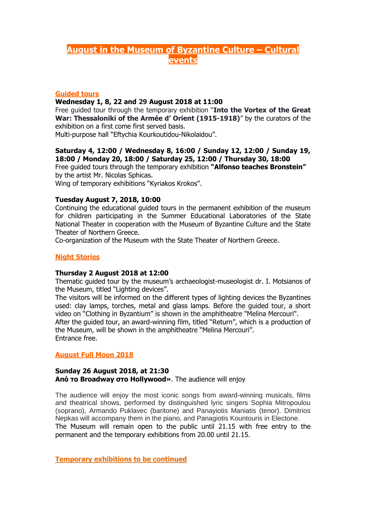# **August in the Museum of Byzantine Culture – Cultural events**

## **Guided tours**

#### **Wednesday 1, 8, 22 and 29 August 2018 at 11:00**

Free guided tour through the temporary exhibition "**Into the Vortex of the Great War: Thessaloniki of the Armée d' Orient (1915-1918)**" by the curators of the exhibition on a first come first served basis.

Multi-purpose hall "Eftychia Kourkoutidou-Nikolaidou".

#### **Saturday 4, 12:00 / Wednesday 8, 16:00 / Sunday 12, 12:00 / Sunday 19, 18:00 / Monday 20, 18:00 / Saturday 25, 12:00 / Thursday 30, 18:00**  Free guided tours through the temporary exhibition **"Alfonso teaches Bronstein"**

by the artist Mr. Nicolas Sphicas.

Wing of temporary exhibitions "Kyriakos Krokos".

# **Tuesday August 7, 2018, 10:00**

Continuing the educational guided tours in the permanent exhibition of the museum for children participating in the Summer Educational Laboratories of the State National Theater in cooperation with the Museum of Byzantine Culture and the State Theater of Northern Greece.

Co-organization of the Museum with the State Theater of Northern Greece.

# **Night Stories**

#### **Thursday 2 August 2018 at 12:00**

Thematic guided tour by the museum's archaeologist-museologist dr. I. Motsianos of the Museum, titled "Lighting devices".

The visitors will be informed on the different types of lighting devices the Byzantines used: clay lamps, torches, metal and glass lamps. Before the guided tour, a short video on "Clothing in Byzantium" is shown in the amphitheatre "Melina Mercouri". After the guided tour, an award-winning film, titled "Return", which is a production of the Museum, will be shown in the amphitheatre "Melina Mercouri". Entrance free.

## **August Full Moon 2018**

#### **Sunday 26 August 2018, at 21:30 Από το Broadway στο Hοllywood»**. The audience will enjoy

The audience will enjoy the most iconic songs from award-winning musicals, films and theatrical shows, performed by distinguished lyric singers Sophia Mitropoulou (soprano), Armando Puklavec (baritone) and Panayiotis Maniatis (tenor). Dimitrios Nepkas will accompany them in the piano, and Panagiotis Kountouris in Electone. The Museum will remain open to the public until 21.15 with free entry to the permanent and the temporary exhibitions from 20.00 until 21.15.

**Temporary exhibitions to be continued**